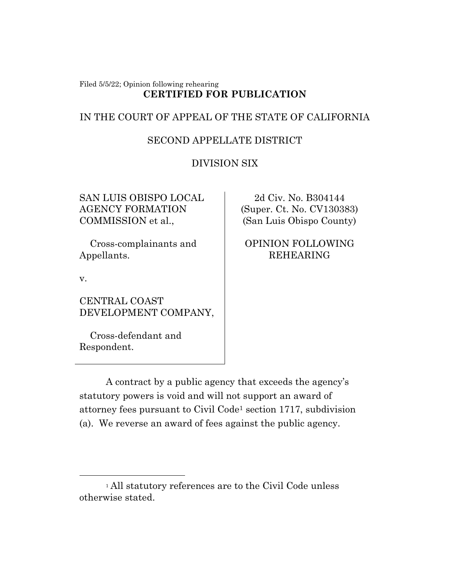#### Filed 5/5/22; Opinion following rehearing **CERTIFIED FOR PUBLICATION**

# IN THE COURT OF APPEAL OF THE STATE OF CALIFORNIA

# SECOND APPELLATE DISTRICT

# DIVISION SIX

SAN LUIS OBISPO LOCAL AGENCY FORMATION COMMISSION et al.,

 Cross-complainants and Appellants.

v.

CENTRAL COAST DEVELOPMENT COMPANY,

 Cross-defendant and Respondent.

2d Civ. No. B304144 (Super. Ct. No. CV130383) (San Luis Obispo County)

# OPINION FOLLOWING REHEARING

A contract by a public agency that exceeds the agency's statutory powers is void and will not support an award of attorney fees pursuant to Civil Code<sup>1</sup> section 1717, subdivision (a). We reverse an award of fees against the public agency.

<sup>&</sup>lt;sup>1</sup> All statutory references are to the Civil Code unless otherwise stated.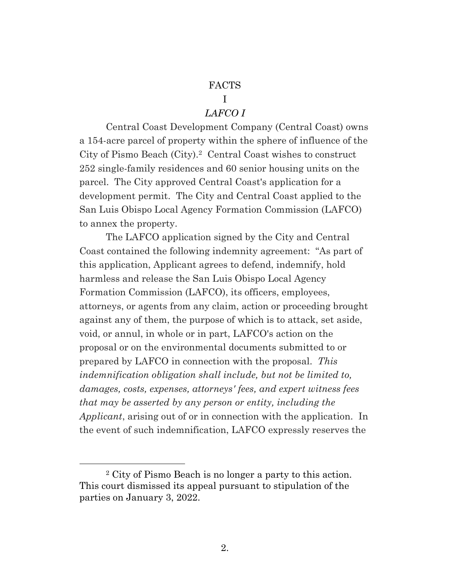### FACTS

#### I

### *LAFCO I*

Central Coast Development Company (Central Coast) owns a 154-acre parcel of property within the sphere of influence of the City of Pismo Beach (City).<sup>2</sup> Central Coast wishes to construct 252 single-family residences and 60 senior housing units on the parcel. The City approved Central Coast's application for a development permit. The City and Central Coast applied to the San Luis Obispo Local Agency Formation Commission (LAFCO) to annex the property.

The LAFCO application signed by the City and Central Coast contained the following indemnity agreement: "As part of this application, Applicant agrees to defend, indemnify, hold harmless and release the San Luis Obispo Local Agency Formation Commission (LAFCO), its officers, employees, attorneys, or agents from any claim, action or proceeding brought against any of them, the purpose of which is to attack, set aside, void, or annul, in whole or in part, LAFCO's action on the proposal or on the environmental documents submitted to or prepared by LAFCO in connection with the proposal. *This indemnification obligation shall include, but not be limited to, damages, costs, expenses, attorneys' fees, and expert witness fees that may be asserted by any person or entity, including the Applicant*, arising out of or in connection with the application. In the event of such indemnification, LAFCO expressly reserves the

<sup>2</sup> City of Pismo Beach is no longer a party to this action. This court dismissed its appeal pursuant to stipulation of the parties on January 3, 2022.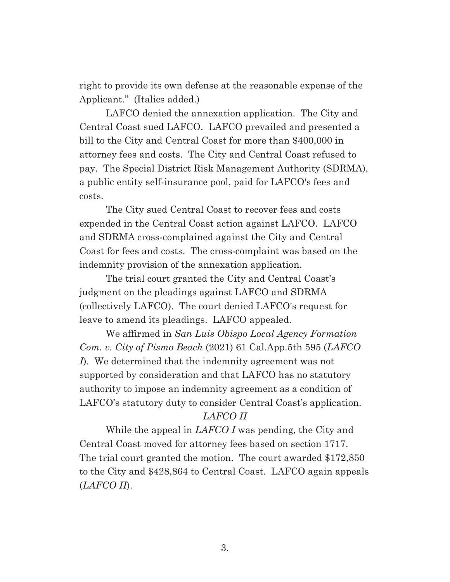right to provide its own defense at the reasonable expense of the Applicant." (Italics added.)

LAFCO denied the annexation application. The City and Central Coast sued LAFCO. LAFCO prevailed and presented a bill to the City and Central Coast for more than \$400,000 in attorney fees and costs. The City and Central Coast refused to pay. The Special District Risk Management Authority (SDRMA), a public entity self-insurance pool, paid for LAFCO's fees and costs.

The City sued Central Coast to recover fees and costs expended in the Central Coast action against LAFCO. LAFCO and SDRMA cross-complained against the City and Central Coast for fees and costs. The cross-complaint was based on the indemnity provision of the annexation application.

The trial court granted the City and Central Coast's judgment on the pleadings against LAFCO and SDRMA (collectively LAFCO). The court denied LAFCO's request for leave to amend its pleadings. LAFCO appealed.

We affirmed in *San Luis Obispo Local Agency Formation Com. v. City of Pismo Beach* (2021) 61 Cal.App.5th 595 (*LAFCO I*). We determined that the indemnity agreement was not supported by consideration and that LAFCO has no statutory authority to impose an indemnity agreement as a condition of LAFCO's statutory duty to consider Central Coast's application.

## *LAFCO II*

While the appeal in *LAFCO I* was pending, the City and Central Coast moved for attorney fees based on section 1717. The trial court granted the motion. The court awarded \$172,850 to the City and \$428,864 to Central Coast. LAFCO again appeals (*LAFCO II*).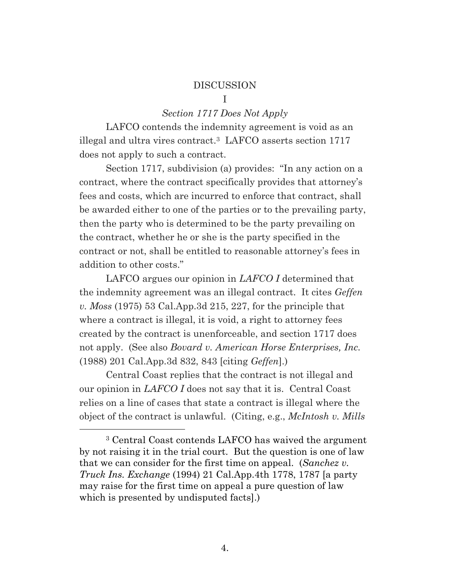#### DISCUSSION

#### I

#### *Section 1717 Does Not Apply*

LAFCO contends the indemnity agreement is void as an illegal and ultra vires contract. <sup>3</sup> LAFCO asserts section 1717 does not apply to such a contract.

Section 1717, subdivision (a) provides: "In any action on a contract, where the contract specifically provides that attorney's fees and costs, which are incurred to enforce that contract, shall be awarded either to one of the parties or to the prevailing party, then the party who is determined to be the party prevailing on the contract, whether he or she is the party specified in the contract or not, shall be entitled to reasonable attorney's fees in addition to other costs."

LAFCO argues our opinion in *LAFCO I* determined that the indemnity agreement was an illegal contract. It cites *Geffen v. Moss* (1975) 53 Cal.App.3d 215, 227, for the principle that where a contract is illegal, it is void, a right to attorney fees created by the contract is unenforceable, and section 1717 does not apply. (See also *Bovard v. American Horse Enterprises, Inc.* (1988) 201 Cal.App.3d 832, 843 [citing *Geffen*].)

Central Coast replies that the contract is not illegal and our opinion in *LAFCO I* does not say that it is. Central Coast relies on a line of cases that state a contract is illegal where the object of the contract is unlawful. (Citing, e.g., *McIntosh v. Mills*

<sup>3</sup> Central Coast contends LAFCO has waived the argument by not raising it in the trial court. But the question is one of law that we can consider for the first time on appeal. (*Sanchez v. Truck Ins. Exchange* (1994) 21 Cal.App.4th 1778, 1787 [a party may raise for the first time on appeal a pure question of law which is presented by undisputed facts].)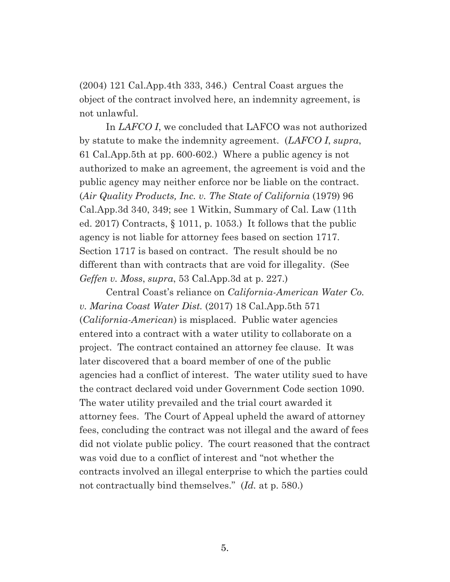(2004) 121 Cal.App.4th 333, 346.) Central Coast argues the object of the contract involved here, an indemnity agreement, is not unlawful.

In *LAFCO I*, we concluded that LAFCO was not authorized by statute to make the indemnity agreement. (*LAFCO I*, *supra*, 61 Cal.App.5th at pp. 600-602.) Where a public agency is not authorized to make an agreement, the agreement is void and the public agency may neither enforce nor be liable on the contract. (*Air Quality Products, Inc. v. The State of California* (1979) 96 Cal.App.3d 340, 349; see 1 Witkin, Summary of Cal. Law (11th ed. 2017) Contracts, § 1011, p. 1053.) It follows that the public agency is not liable for attorney fees based on section 1717. Section 1717 is based on contract. The result should be no different than with contracts that are void for illegality. (See *Geffen v. Moss*, *supra*, 53 Cal.App.3d at p. 227.)

Central Coast's reliance on *California-American Water Co. v. Marina Coast Water Dist.* (2017) 18 Cal.App.5th 571 (*California-American*) is misplaced. Public water agencies entered into a contract with a water utility to collaborate on a project. The contract contained an attorney fee clause. It was later discovered that a board member of one of the public agencies had a conflict of interest. The water utility sued to have the contract declared void under Government Code section 1090. The water utility prevailed and the trial court awarded it attorney fees. The Court of Appeal upheld the award of attorney fees, concluding the contract was not illegal and the award of fees did not violate public policy. The court reasoned that the contract was void due to a conflict of interest and "not whether the contracts involved an illegal enterprise to which the parties could not contractually bind themselves." (*Id.* at p. 580.)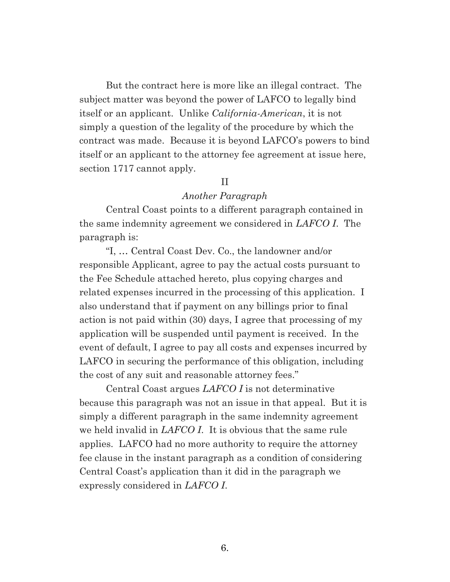But the contract here is more like an illegal contract. The subject matter was beyond the power of LAFCO to legally bind itself or an applicant. Unlike *California-American*, it is not simply a question of the legality of the procedure by which the contract was made. Because it is beyond LAFCO's powers to bind itself or an applicant to the attorney fee agreement at issue here, section 1717 cannot apply.

### II

### *Another Paragraph*

Central Coast points to a different paragraph contained in the same indemnity agreement we considered in *LAFCO I*. The paragraph is:

"I, … Central Coast Dev. Co., the landowner and/or responsible Applicant, agree to pay the actual costs pursuant to the Fee Schedule attached hereto, plus copying charges and related expenses incurred in the processing of this application. I also understand that if payment on any billings prior to final action is not paid within (30) days, I agree that processing of my application will be suspended until payment is received. In the event of default, I agree to pay all costs and expenses incurred by LAFCO in securing the performance of this obligation, including the cost of any suit and reasonable attorney fees."

Central Coast argues *LAFCO I* is not determinative because this paragraph was not an issue in that appeal. But it is simply a different paragraph in the same indemnity agreement we held invalid in *LAFCO I*. It is obvious that the same rule applies. LAFCO had no more authority to require the attorney fee clause in the instant paragraph as a condition of considering Central Coast's application than it did in the paragraph we expressly considered in *LAFCO I*.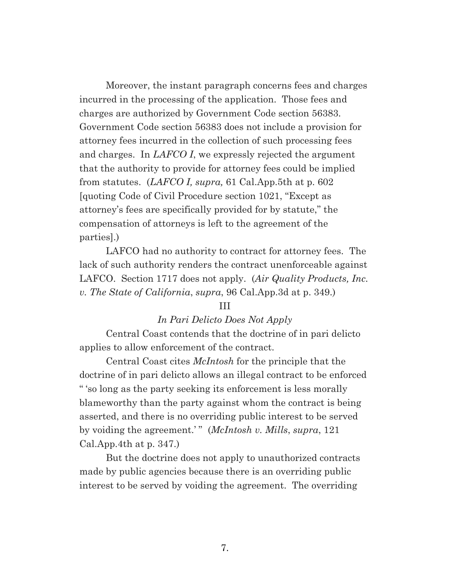Moreover, the instant paragraph concerns fees and charges incurred in the processing of the application. Those fees and charges are authorized by Government Code section 56383. Government Code section 56383 does not include a provision for attorney fees incurred in the collection of such processing fees and charges. In *LAFCO I*, we expressly rejected the argument that the authority to provide for attorney fees could be implied from statutes. (*LAFCO I, supra,* 61 Cal.App.5th at p. 602 [quoting Code of Civil Procedure section 1021, "Except as attorney's fees are specifically provided for by statute," the compensation of attorneys is left to the agreement of the parties].)

LAFCO had no authority to contract for attorney fees. The lack of such authority renders the contract unenforceable against LAFCO. Section 1717 does not apply. (*Air Quality Products, Inc. v. The State of California*, *supra*, 96 Cal.App.3d at p. 349.)

#### III

### *In Pari Delicto Does Not Apply*

Central Coast contends that the doctrine of in pari delicto applies to allow enforcement of the contract.

Central Coast cites *McIntosh* for the principle that the doctrine of in pari delicto allows an illegal contract to be enforced " 'so long as the party seeking its enforcement is less morally blameworthy than the party against whom the contract is being asserted, and there is no overriding public interest to be served by voiding the agreement.' " (*McIntosh v. Mills*, *supra*, 121 Cal.App.4th at p. 347.)

But the doctrine does not apply to unauthorized contracts made by public agencies because there is an overriding public interest to be served by voiding the agreement. The overriding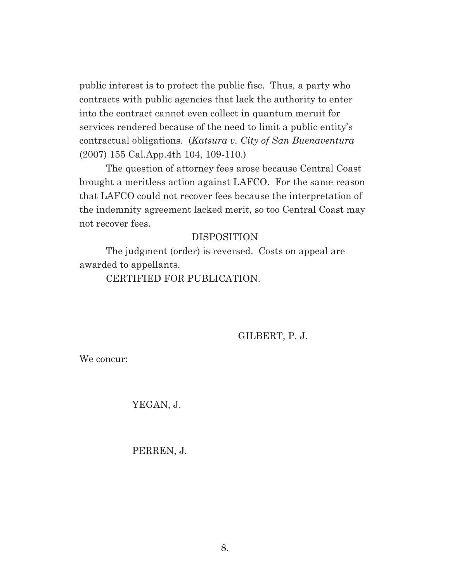public interest is to protect the public fisc. Thus, a party who contracts with public agencies that lack the authority to enter into the contract cannot even collect in quantum meruit for services rendered because of the need to limit a public entity's contractual obligations. (*Katsura v. City of San Buenaventura* (2007) 155 Cal.App.4th 104, 109-110.)

The question of attorney fees arose because Central Coast brought a meritless action against LAFCO. For the same reason that LAFCO could not recover fees because the interpretation of the indemnity agreement lacked merit, so too Central Coast may not recover fees.

### DISPOSITION

The judgment (order) is reversed. Costs on appeal are awarded to appellants.

### CERTIFIED FOR PUBLICATION.

GILBERT, P. J.

We concur:

YEGAN, J.

PERREN, J.